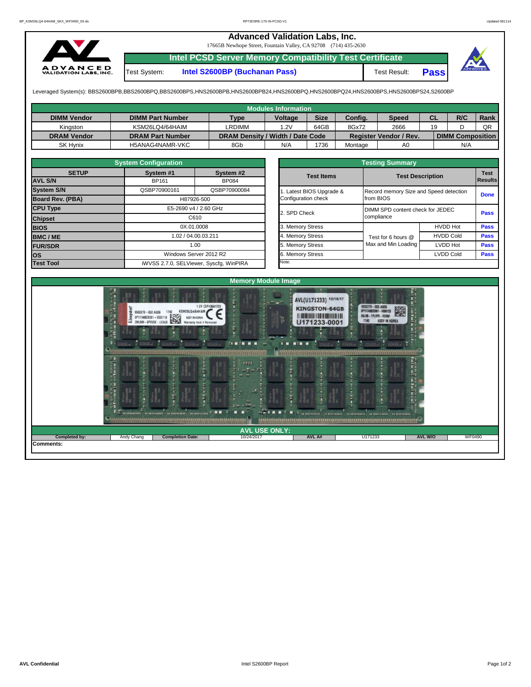## **Advanced Validation Labs, Inc.**

17665B Newhope Street, Fountain Valley, CA 92708 (714) 435-2630



**Intel PCSD Server Memory Compatibility Test Certificate**

Test System: **Intel S2600BP (Buchanan Pass)** Test Result: **Pass**



Leveraged System(s): BBS2600BPB,BBS2600BPQ,BBS2600BPS,HNS2600BPB,HNS2600BPB24,HNS2600BPQ,HNS2600BPQ24,HNS2600BPS,HNS2600BPS24,S2600BP

|                    |                         |                                  | <b>Modules Information</b> |             |         |                               |           |                         |             |
|--------------------|-------------------------|----------------------------------|----------------------------|-------------|---------|-------------------------------|-----------|-------------------------|-------------|
| <b>DIMM Vendor</b> | <b>DIMM Part Number</b> | <b>Type</b>                      | <b>Voltage</b>             | <b>Size</b> | Config. | <b>Speed</b>                  | <b>CL</b> | R/C                     | <b>Rank</b> |
| Kingston           | KSM26LQ4/64HAIM         | LRDIMM                           | 1.2V                       | 64GB        | 8Gx72   | 2666                          | 19        |                         | QR          |
| <b>DRAM Vendor</b> | <b>DRAM Part Number</b> | DRAM Density / Width / Date Code |                            |             |         | <b>Register Vendor / Rev.</b> |           | <b>DIMM Composition</b> |             |
| <b>SK Hynix</b>    | H5ANAG4NAMR-VKC         | 8Gb                              | N/A                        | 1736        | Montage | A0                            |           | N/A                     |             |

|                   | <b>System Configuration</b>   |                                         |  | <b>Testing Summary</b> |                                        |                  |                        |  |  |  |  |  |  |
|-------------------|-------------------------------|-----------------------------------------|--|------------------------|----------------------------------------|------------------|------------------------|--|--|--|--|--|--|
| <b>SETUP</b>      | System #1                     | System #2                               |  | <b>Test Items</b>      | <b>Test Description</b>                |                  | <b>Test</b><br>Results |  |  |  |  |  |  |
| <b>AVL S/N</b>    | BP161                         | <b>BP084</b>                            |  |                        |                                        |                  |                        |  |  |  |  |  |  |
| <b>System S/N</b> | QSBP70900161                  | QSBP70900084                            |  | Latest BIOS Upgrade &  | Record memory Size and Speed detection |                  | <b>Done</b>            |  |  |  |  |  |  |
| Board Rev. (PBA)  |                               | H87926-500                              |  | Configuration check    | from BIOS                              |                  |                        |  |  |  |  |  |  |
| <b>CPU Type</b>   | E5-2690 v4 / 2.60 GHz<br>C610 |                                         |  | 2. SPD Check           | DIMM SPD content check for JEDEC       |                  |                        |  |  |  |  |  |  |
| <b>Chipset</b>    |                               |                                         |  |                        | compliance                             | <b>Pass</b>      |                        |  |  |  |  |  |  |
| <b>BIOS</b>       |                               | 0X.01.0008                              |  | 3. Memory Stress       |                                        | <b>HVDD Hot</b>  | <b>Pass</b>            |  |  |  |  |  |  |
| BMC/ME            | 1.02 / 04.00.03.211           |                                         |  | 4. Memory Stress       | Test for 6 hours @                     | <b>HVDD Cold</b> | <b>Pass</b>            |  |  |  |  |  |  |
| <b>FUR/SDR</b>    |                               | 1.00                                    |  | 5. Memory Stress       | Max and Min Loading                    | LVDD Hot         | <b>Pass</b>            |  |  |  |  |  |  |
| los               |                               | Windows Server 2012 R2                  |  | 6. Memory Stress       |                                        | <b>LVDD Cold</b> | <b>Pass</b>            |  |  |  |  |  |  |
| <b>Test Tool</b>  |                               | iWVSS 2.7.0, SELViewer, Syscfq, WinPIRA |  | Note:                  |                                        |                  |                        |  |  |  |  |  |  |

|                                                 | <b>Testing Summary</b>                              |                  |                               |
|-------------------------------------------------|-----------------------------------------------------|------------------|-------------------------------|
| <b>Test Items</b>                               | <b>Test Description</b>                             |                  | <b>Test</b><br><b>Results</b> |
| 1. Latest BIOS Upgrade &<br>Configuration check | Record memory Size and Speed detection<br>from BIOS |                  | <b>Done</b>                   |
| 2. SPD Check                                    | DIMM SPD content check for JEDEC<br>compliance      |                  | Pass                          |
| 3. Memory Stress                                |                                                     | <b>HVDD Hot</b>  | <b>Pass</b>                   |
| 4. Memory Stress                                | Test for 6 hours @                                  | <b>HVDD Cold</b> | <b>Pass</b>                   |
| 5. Memory Stress                                | Max and Min Loading                                 | <b>LVDD Hot</b>  | <b>Pass</b>                   |
| 6. Memory Stress                                |                                                     | <b>LVDD Cold</b> | <b>Pass</b>                   |
| Note:                                           |                                                     |                  |                               |